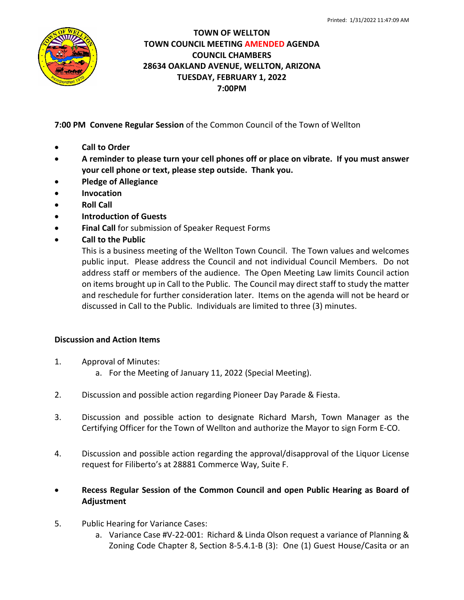

## **TOWN OF WELLTON TOWN COUNCIL MEETING AMENDED AGENDA COUNCIL CHAMBERS 28634 OAKLAND AVENUE, WELLTON, ARIZONA TUESDAY, FEBRUARY 1, 2022 7:00PM**

**7:00 PM Convene Regular Session** of the Common Council of the Town of Wellton

- **Call to Order**
- **A reminder to please turn your cell phones off or place on vibrate. If you must answer your cell phone or text, please step outside. Thank you.**
- **Pledge of Allegiance**
- **Invocation**
- **Roll Call**
- **Introduction of Guests**
- **Final Call** for submission of Speaker Request Forms
- **Call to the Public**

This is a business meeting of the Wellton Town Council. The Town values and welcomes public input. Please address the Council and not individual Council Members. Do not address staff or members of the audience. The Open Meeting Law limits Council action on items brought up in Call to the Public. The Council may direct staff to study the matter and reschedule for further consideration later. Items on the agenda will not be heard or discussed in Call to the Public. Individuals are limited to three (3) minutes.

## **Discussion and Action Items**

- 1. Approval of Minutes:
	- a. For the Meeting of January 11, 2022 (Special Meeting).
- 2. Discussion and possible action regarding Pioneer Day Parade & Fiesta.
- 3. Discussion and possible action to designate Richard Marsh, Town Manager as the Certifying Officer for the Town of Wellton and authorize the Mayor to sign Form E-CO.
- 4. Discussion and possible action regarding the approval/disapproval of the Liquor License request for Filiberto's at 28881 Commerce Way, Suite F.
- **Recess Regular Session of the Common Council and open Public Hearing as Board of Adjustment**
- 5. Public Hearing for Variance Cases:
	- a. Variance Case #V-22-001: Richard & Linda Olson request a variance of Planning & Zoning Code Chapter 8, Section 8-5.4.1-B (3): One (1) Guest House/Casita or an